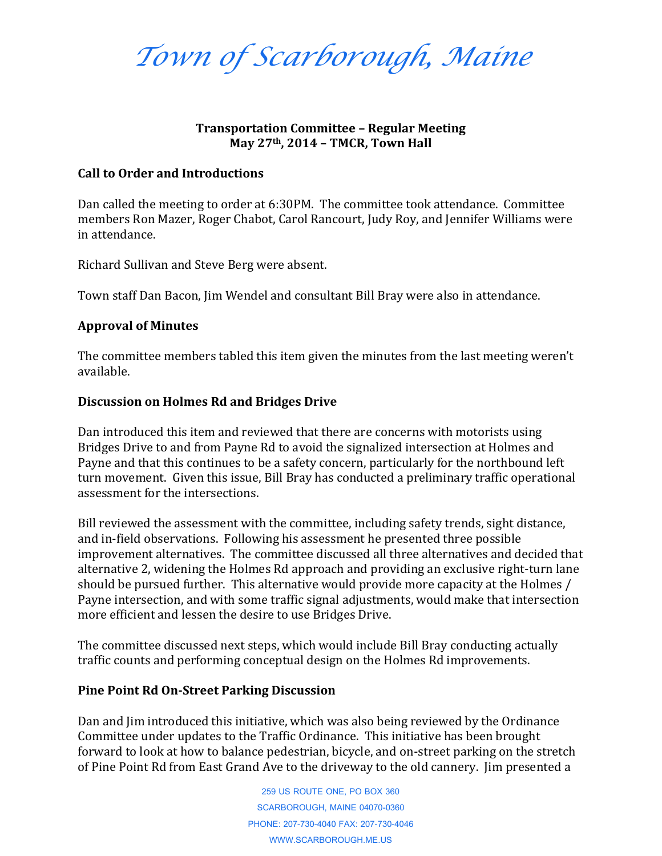*Town of Scarborough, Maine*

## **Transportation Committee – Regular Meeting May 27th, 2014 – TMCR, Town Hall**

#### **Call to Order and Introductions**

Dan called the meeting to order at 6:30PM. The committee took attendance. Committee members Ron Mazer, Roger Chabot, Carol Rancourt, Judy Roy, and Jennifer Williams were in attendance.

Richard Sullivan and Steve Berg were absent.

Town staff Dan Bacon, Jim Wendel and consultant Bill Bray were also in attendance.

### **Approval of Minutes**

The committee members tabled this item given the minutes from the last meeting weren't available.

### **Discussion on Holmes Rd and Bridges Drive**

Dan introduced this item and reviewed that there are concerns with motorists using Bridges Drive to and from Payne Rd to avoid the signalized intersection at Holmes and Payne and that this continues to be a safety concern, particularly for the northbound left turn movement. Given this issue, Bill Bray has conducted a preliminary traffic operational assessment for the intersections.

Bill reviewed the assessment with the committee, including safety trends, sight distance, and in-field observations. Following his assessment he presented three possible improvement alternatives. The committee discussed all three alternatives and decided that alternative 2, widening the Holmes Rd approach and providing an exclusive right-turn lane should be pursued further. This alternative would provide more capacity at the Holmes / Payne intersection, and with some traffic signal adjustments, would make that intersection more efficient and lessen the desire to use Bridges Drive.

The committee discussed next steps, which would include Bill Bray conducting actually traffic counts and performing conceptual design on the Holmes Rd improvements.

### **Pine Point Rd On-Street Parking Discussion**

Dan and Jim introduced this initiative, which was also being reviewed by the Ordinance Committee under updates to the Traffic Ordinance. This initiative has been brought forward to look at how to balance pedestrian, bicycle, and on-street parking on the stretch of Pine Point Rd from East Grand Ave to the driveway to the old cannery. Jim presented a

> 259 US ROUTE ONE, PO BOX 360 SCARBOROUGH, MAINE 04070-0360 PHONE: 207-730-4040 FAX: 207-730-4046 WWW.SCARBOROUGH.ME.US